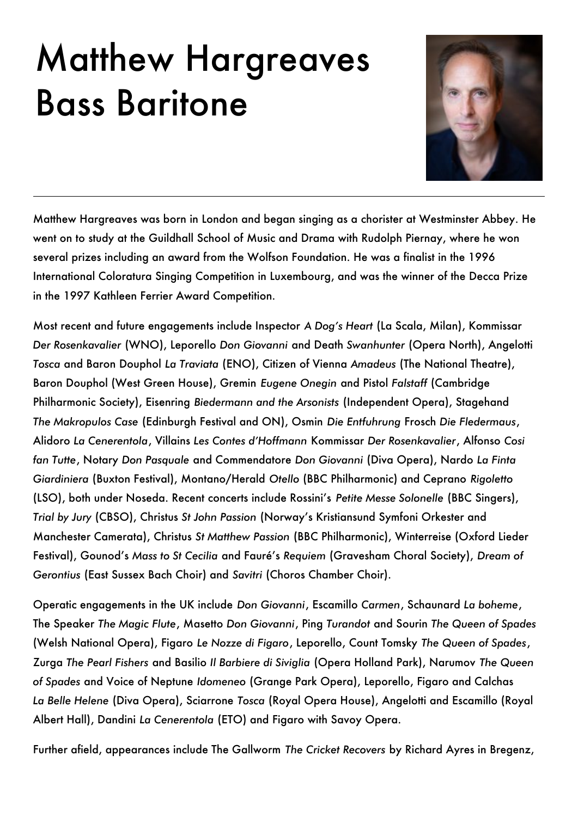## Matthew Hargreaves Bass Baritone



Matthew Hargreaves was born in London and began singing as a chorister at Westminster Abbey. He went on to study at the Guildhall School of Music and Drama with Rudolph Piernay, where he won several prizes including an award from the Wolfson Foundation. He was a finalist in the 1996 International Coloratura Singing Competition in Luxembourg, and was the winner of the Decca Prize in the 1997 Kathleen Ferrier Award Competition.

Most recent and future engagements include Inspector *A Dog's Heart* (La Scala, Milan), Kommissar Der Rosenkavalier (WNO), Leporello *Don Giovanni* and Death *Swanhunter* (Opera North), Angelotti **Tosca** and Baron Douphol La Traviata (ENO), Citizen of Vienna Amadeus (The National Theatre), Baron Douphol (West Green House), Gremin *Eugene Onegin* and Pistol *Falstaff* (Cambridge Philharmonic Society), Eisenring *Biedermann and the Arsonists* (Independent Opera), Stagehand *The Makropulos Case* (Edinburgh Festival and ON)' Osmin *Die Entfuhrung* Frosch *Die Fledermaus*' Alidoro *La Cenerentola*' Villains *Les Contes d'Hoffmann* Kommissar *Der Rosenkavalier*' Alfonso *Cosi fan Tutte*' Notary *Don Pasquale* and Commendatore *Don Giovanni* (Diva Opera)' Nardo *La Finta Giardiniera* (Buxton Festival)' Montano/Herald *Otello* (BBC Philharmonic) and Ceprano *Rigoletto* (LSO), both under Noseda. Recent concerts include Rossini's *Petite Messe Solonelle* (BBC Singers), Trial by Jury (CBSO), Christus *St John Passion* (Norway's Kristiansund Symfoni Orkester and Manchester Camerata), Christus *St Matthew Passion* (BBC Philharmonic), Winterreise (Oxford Lieder Festival), Gounod's Mass to St Cecilia and Fauré's Requiem (Gravesham Choral Society), Dream of *Gerontius* (East Sussex Bach Choir) and *Savitri* (Choros Chamber Choir).

Operatic engagements in the UK include *Don Giovanni*, Escamillo Carmen, Schaunard La boheme, The Speaker *The Magic Flute*' Masetto *Don Giovanni*' Ping *Turandot* and Sourin *The Queen of Spades* (Welsh National Opera)' Figaro *Le Nozze di Figaro*' Leporello' Count Tomsky *The Queen of Spades*' Zurga *The Pearl Fishers* and Basilio *Il Barbiere di Siviglia* (Opera Holland Park)' Narumov *The Queen of Spades* and Voice of Neptune *Idomeneo* (Grange Park Opera)' Leporello' Figaro and Calchas La Belle Helene (Diva Opera), Sciarrone *Tosca* (Royal Opera House), Angelotti and Escamillo (Royal Albert Hall), Dandini La Cenerentola (ETO) and Figaro with Savoy Opera.

Further afield, appearances include The Gallworm The Cricket Recovers by Richard Ayres in Bregenz,